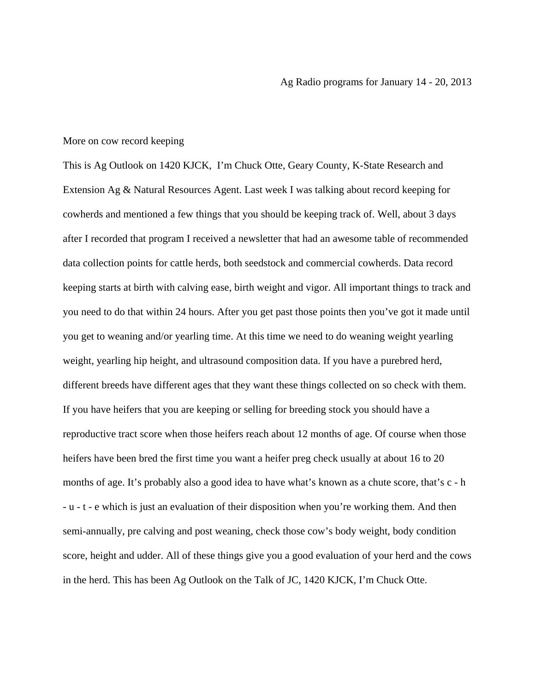## More on cow record keeping

This is Ag Outlook on 1420 KJCK, I'm Chuck Otte, Geary County, K-State Research and Extension Ag & Natural Resources Agent. Last week I was talking about record keeping for cowherds and mentioned a few things that you should be keeping track of. Well, about 3 days after I recorded that program I received a newsletter that had an awesome table of recommended data collection points for cattle herds, both seedstock and commercial cowherds. Data record keeping starts at birth with calving ease, birth weight and vigor. All important things to track and you need to do that within 24 hours. After you get past those points then you've got it made until you get to weaning and/or yearling time. At this time we need to do weaning weight yearling weight, yearling hip height, and ultrasound composition data. If you have a purebred herd, different breeds have different ages that they want these things collected on so check with them. If you have heifers that you are keeping or selling for breeding stock you should have a reproductive tract score when those heifers reach about 12 months of age. Of course when those heifers have been bred the first time you want a heifer preg check usually at about 16 to 20 months of age. It's probably also a good idea to have what's known as a chute score, that's c - h - u - t - e which is just an evaluation of their disposition when you're working them. And then semi-annually, pre calving and post weaning, check those cow's body weight, body condition score, height and udder. All of these things give you a good evaluation of your herd and the cows in the herd. This has been Ag Outlook on the Talk of JC, 1420 KJCK, I'm Chuck Otte.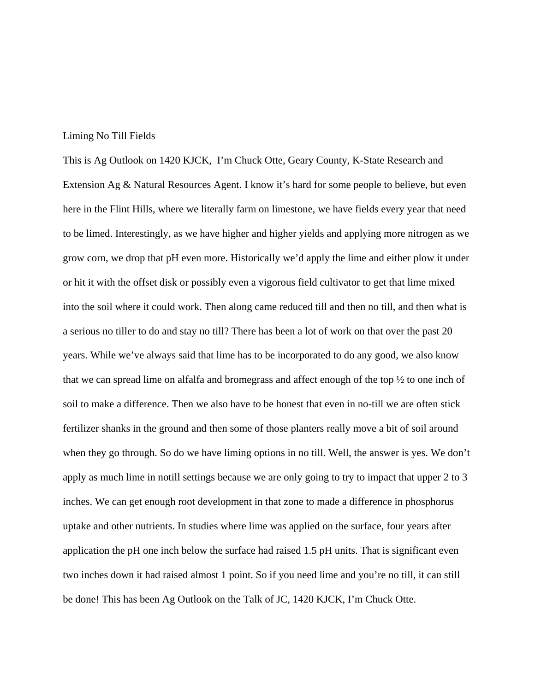## Liming No Till Fields

This is Ag Outlook on 1420 KJCK, I'm Chuck Otte, Geary County, K-State Research and Extension Ag & Natural Resources Agent. I know it's hard for some people to believe, but even here in the Flint Hills, where we literally farm on limestone, we have fields every year that need to be limed. Interestingly, as we have higher and higher yields and applying more nitrogen as we grow corn, we drop that pH even more. Historically we'd apply the lime and either plow it under or hit it with the offset disk or possibly even a vigorous field cultivator to get that lime mixed into the soil where it could work. Then along came reduced till and then no till, and then what is a serious no tiller to do and stay no till? There has been a lot of work on that over the past 20 years. While we've always said that lime has to be incorporated to do any good, we also know that we can spread lime on alfalfa and bromegrass and affect enough of the top ½ to one inch of soil to make a difference. Then we also have to be honest that even in no-till we are often stick fertilizer shanks in the ground and then some of those planters really move a bit of soil around when they go through. So do we have liming options in no till. Well, the answer is yes. We don't apply as much lime in notill settings because we are only going to try to impact that upper 2 to 3 inches. We can get enough root development in that zone to made a difference in phosphorus uptake and other nutrients. In studies where lime was applied on the surface, four years after application the pH one inch below the surface had raised 1.5 pH units. That is significant even two inches down it had raised almost 1 point. So if you need lime and you're no till, it can still be done! This has been Ag Outlook on the Talk of JC, 1420 KJCK, I'm Chuck Otte.